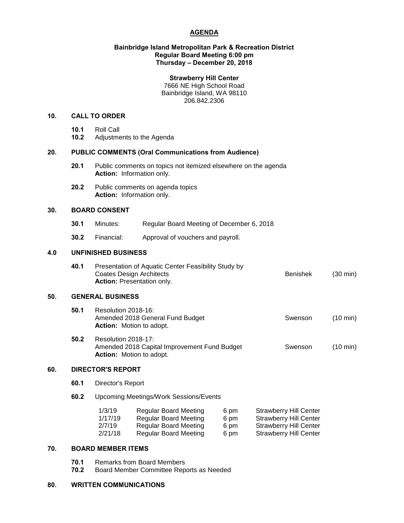# **AGENDA**

### **Bainbridge Island Metropolitan Park & Recreation District Regular Board Meeting 6:00 pm Thursday – December 20, 2018**

#### **Strawberry Hill Center**

7666 NE High School Road Bainbridge Island, WA 98110 206.842.2306

# **10. CALL TO ORDER**

- **10.1** Roll Call
- **10.2** Adjustments to the Agenda

## **20. PUBLIC COMMENTS (Oral Communications from Audience)**

- **20.1** Public comments on topics not itemized elsewhere on the agenda **Action:** Information only.
- **20.2** Public comments on agenda topics **Action:** Information only.

### **30. BOARD CONSENT**

- **30.1** Minutes: Regular Board Meeting of December 6, 2018
- **30.2** Financial: Approval of vouchers and payroll.

# **4.0 UNFINISHED BUSINESS**

| 40.1 | Presentation of Aquatic Center Feasibility Study by |          |                    |  |  |
|------|-----------------------------------------------------|----------|--------------------|--|--|
|      | Coates Design Architects                            | Benishek | $(30 \text{ min})$ |  |  |
|      | <b>Action:</b> Presentation only.                   |          |                    |  |  |

#### **50. GENERAL BUSINESS**

| 50.1 | Resolution 2018-16:<br>Amended 2018 General Fund Budget<br><b>Action:</b> Motion to adopt. | Swenson | $(10 \text{ min})$ |
|------|--------------------------------------------------------------------------------------------|---------|--------------------|
| ר הב | $D_{\text{coolution}}$ 0010 17.                                                            |         |                    |

**50.2** Resolution 2018-17: Amended 2018 Capital Improvement Fund Budget Swenson (10 min) **Action:** Motion to adopt.

## **60. DIRECTOR'S REPORT**

- **60.1** Director's Report
- **60.2** Upcoming Meetings/Work Sessions/Events

| 1/3/19  | <b>Regular Board Meeting</b> | 6 pm | <b>Strawberry Hill Center</b> |
|---------|------------------------------|------|-------------------------------|
| 1/17/19 | <b>Regular Board Meeting</b> | 6 pm | <b>Strawberry Hill Center</b> |
| 2/7/19  | Regular Board Meeting        | 6 pm | <b>Strawberry Hill Center</b> |
| 2/21/18 | Regular Board Meeting        | 6 pm | <b>Strawberry Hill Center</b> |

# **70. BOARD MEMBER ITEMS**

- **70.1** Remarks from Board Members<br>**70.2** Board Member Committee Rep
- **70.2** Board Member Committee Reports as Needed

#### **80. WRITTEN COMMUNICATIONS**